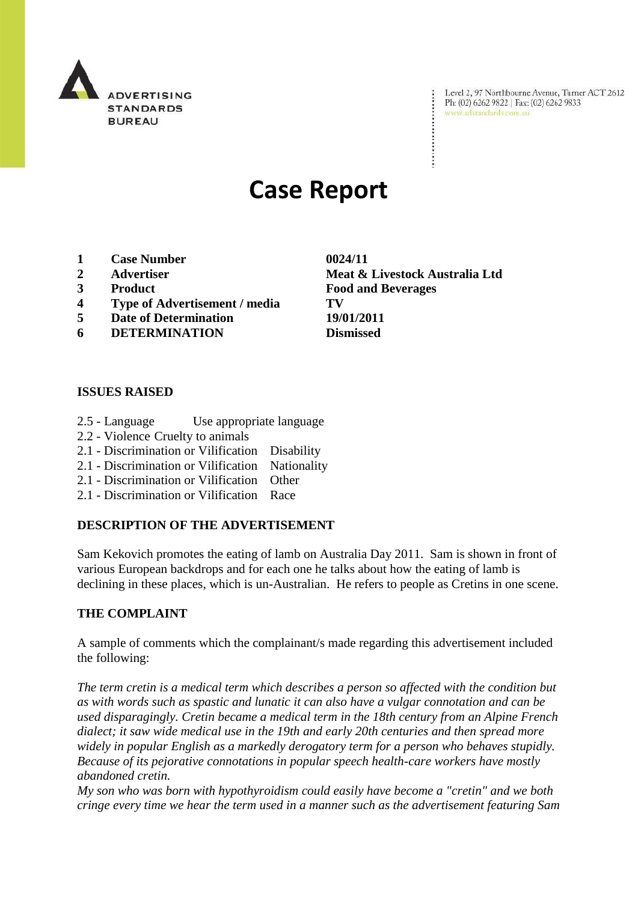

Level 2, 97 Northbourne Avenue, Turner ACT 2612 Ph: (02) 6262 9822 | Fax: (02) 6262 9833 www.adstandards.com.au

# **Case Report**

- **1 Case Number 0024/11**
- 
- 
- **4 Type of Advertisement / media TV**
- **5 Date of Determination 19/01/2011**
- **6 DETERMINATION Dismissed**

## **ISSUES RAISED**

- 2.5 Language Use appropriate language
- 2.2 Violence Cruelty to animals
- 2.1 Discrimination or Vilification Disability
- 2.1 Discrimination or Vilification Nationality
- 2.1 Discrimination or Vilification Other
- 2.1 Discrimination or Vilification Race

## **DESCRIPTION OF THE ADVERTISEMENT**

Sam Kekovich promotes the eating of lamb on Australia Day 2011. Sam is shown in front of various European backdrops and for each one he talks about how the eating of lamb is declining in these places, which is un-Australian. He refers to people as Cretins in one scene.

#### **THE COMPLAINT**

A sample of comments which the complainant/s made regarding this advertisement included the following:

*The term cretin is a medical term which describes a person so affected with the condition but as with words such as spastic and lunatic it can also have a vulgar connotation and can be used disparagingly. Cretin became a medical term in the 18th century from an Alpine French dialect; it saw wide medical use in the 19th and early 20th centuries and then spread more widely in popular English as a markedly derogatory term for a person who behaves stupidly. Because of its pejorative connotations in popular speech health-care workers have mostly abandoned cretin.*

*My son who was born with hypothyroidism could easily have become a "cretin" and we both cringe every time we hear the term used in a manner such as the advertisement featuring Sam* 

**2 Advertiser Meat & Livestock Australia Ltd 3 Product Food and Beverages**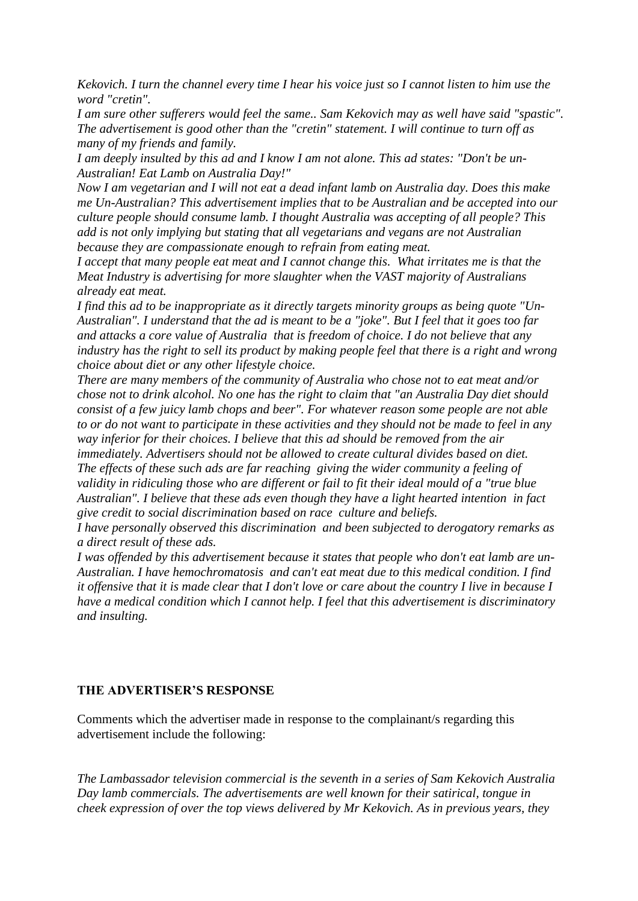*Kekovich. I turn the channel every time I hear his voice just so I cannot listen to him use the word "cretin".*

*I am sure other sufferers would feel the same.. Sam Kekovich may as well have said "spastic". The advertisement is good other than the "cretin" statement. I will continue to turn off as many of my friends and family.*

*I am deeply insulted by this ad and I know I am not alone. This ad states: "Don't be un-Australian! Eat Lamb on Australia Day!"* 

*Now I am vegetarian and I will not eat a dead infant lamb on Australia day. Does this make me Un-Australian? This advertisement implies that to be Australian and be accepted into our culture people should consume lamb. I thought Australia was accepting of all people? This add is not only implying but stating that all vegetarians and vegans are not Australian because they are compassionate enough to refrain from eating meat.*

*I accept that many people eat meat and I cannot change this. What irritates me is that the Meat Industry is advertising for more slaughter when the VAST majority of Australians already eat meat.*

*I find this ad to be inappropriate as it directly targets minority groups as being quote "Un-Australian". I understand that the ad is meant to be a "joke". But I feel that it goes too far and attacks a core value of Australia that is freedom of choice. I do not believe that any industry has the right to sell its product by making people feel that there is a right and wrong choice about diet or any other lifestyle choice.* 

*There are many members of the community of Australia who chose not to eat meat and/or chose not to drink alcohol. No one has the right to claim that "an Australia Day diet should consist of a few juicy lamb chops and beer". For whatever reason some people are not able to or do not want to participate in these activities and they should not be made to feel in any way inferior for their choices. I believe that this ad should be removed from the air immediately. Advertisers should not be allowed to create cultural divides based on diet. The effects of these such ads are far reaching giving the wider community a feeling of validity in ridiculing those who are different or fail to fit their ideal mould of a "true blue Australian". I believe that these ads even though they have a light hearted intention in fact give credit to social discrimination based on race culture and beliefs.* 

*I have personally observed this discrimination and been subjected to derogatory remarks as a direct result of these ads.*

*I was offended by this advertisement because it states that people who don't eat lamb are un-Australian. I have hemochromatosis and can't eat meat due to this medical condition. I find it offensive that it is made clear that I don't love or care about the country I live in because I have a medical condition which I cannot help. I feel that this advertisement is discriminatory and insulting.*

## **THE ADVERTISER'S RESPONSE**

Comments which the advertiser made in response to the complainant/s regarding this advertisement include the following:

*The Lambassador television commercial is the seventh in a series of Sam Kekovich Australia Day lamb commercials. The advertisements are well known for their satirical, tongue in cheek expression of over the top views delivered by Mr Kekovich. As in previous years, they*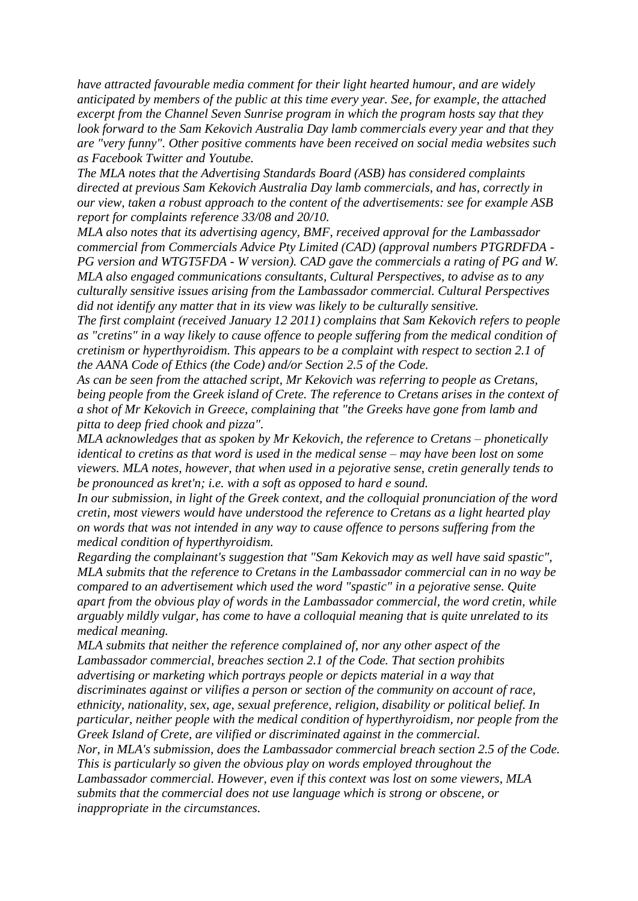*have attracted favourable media comment for their light hearted humour, and are widely anticipated by members of the public at this time every year. See, for example, the attached excerpt from the Channel Seven Sunrise program in which the program hosts say that they look forward to the Sam Kekovich Australia Day lamb commercials every year and that they are "very funny". Other positive comments have been received on social media websites such as Facebook Twitter and Youtube.*

*The MLA notes that the Advertising Standards Board (ASB) has considered complaints directed at previous Sam Kekovich Australia Day lamb commercials, and has, correctly in our view, taken a robust approach to the content of the advertisements: see for example ASB report for complaints reference 33/08 and 20/10.* 

*MLA also notes that its advertising agency, BMF, received approval for the Lambassador commercial from Commercials Advice Pty Limited (CAD) (approval numbers PTGRDFDA - PG version and WTGT5FDA - W version). CAD gave the commercials a rating of PG and W. MLA also engaged communications consultants, Cultural Perspectives, to advise as to any culturally sensitive issues arising from the Lambassador commercial. Cultural Perspectives did not identify any matter that in its view was likely to be culturally sensitive.* 

*The first complaint (received January 12 2011) complains that Sam Kekovich refers to people as "cretins" in a way likely to cause offence to people suffering from the medical condition of cretinism or hyperthyroidism. This appears to be a complaint with respect to section 2.1 of the AANA Code of Ethics (the Code) and/or Section 2.5 of the Code.* 

*As can be seen from the attached script, Mr Kekovich was referring to people as Cretans, being people from the Greek island of Crete. The reference to Cretans arises in the context of a shot of Mr Kekovich in Greece, complaining that "the Greeks have gone from lamb and pitta to deep fried chook and pizza".* 

*MLA acknowledges that as spoken by Mr Kekovich, the reference to Cretans – phonetically identical to cretins as that word is used in the medical sense – may have been lost on some viewers. MLA notes, however, that when used in a pejorative sense, cretin generally tends to be pronounced as kret'n; i.e. with a soft as opposed to hard e sound.* 

*In our submission, in light of the Greek context, and the colloquial pronunciation of the word cretin, most viewers would have understood the reference to Cretans as a light hearted play on words that was not intended in any way to cause offence to persons suffering from the medical condition of hyperthyroidism.* 

*Regarding the complainant's suggestion that "Sam Kekovich may as well have said spastic", MLA submits that the reference to Cretans in the Lambassador commercial can in no way be compared to an advertisement which used the word "spastic" in a pejorative sense. Quite apart from the obvious play of words in the Lambassador commercial, the word cretin, while arguably mildly vulgar, has come to have a colloquial meaning that is quite unrelated to its medical meaning.* 

*MLA submits that neither the reference complained of, nor any other aspect of the Lambassador commercial, breaches section 2.1 of the Code. That section prohibits advertising or marketing which portrays people or depicts material in a way that discriminates against or vilifies a person or section of the community on account of race, ethnicity, nationality, sex, age, sexual preference, religion, disability or political belief. In particular, neither people with the medical condition of hyperthyroidism, nor people from the Greek Island of Crete, are vilified or discriminated against in the commercial.* 

*Nor, in MLA's submission, does the Lambassador commercial breach section 2.5 of the Code. This is particularly so given the obvious play on words employed throughout the Lambassador commercial. However, even if this context was lost on some viewers, MLA* 

*submits that the commercial does not use language which is strong or obscene, or inappropriate in the circumstances.*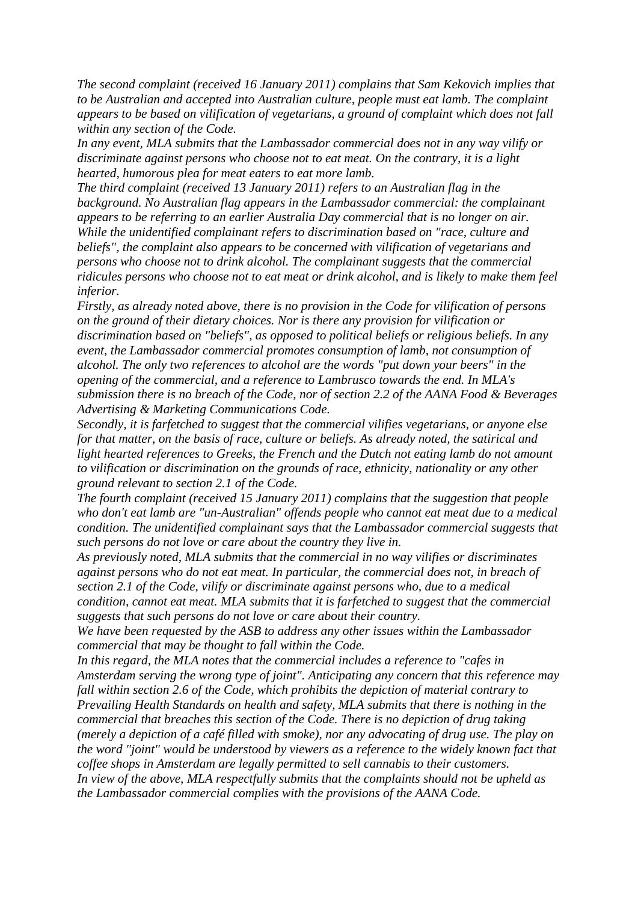*The second complaint (received 16 January 2011) complains that Sam Kekovich implies that to be Australian and accepted into Australian culture, people must eat lamb. The complaint appears to be based on vilification of vegetarians, a ground of complaint which does not fall within any section of the Code.*

*In any event, MLA submits that the Lambassador commercial does not in any way vilify or discriminate against persons who choose not to eat meat. On the contrary, it is a light hearted, humorous plea for meat eaters to eat more lamb.*

*The third complaint (received 13 January 2011) refers to an Australian flag in the background. No Australian flag appears in the Lambassador commercial: the complainant appears to be referring to an earlier Australia Day commercial that is no longer on air. While the unidentified complainant refers to discrimination based on "race, culture and beliefs", the complaint also appears to be concerned with vilification of vegetarians and persons who choose not to drink alcohol. The complainant suggests that the commercial ridicules persons who choose not to eat meat or drink alcohol, and is likely to make them feel inferior.* 

*Firstly, as already noted above, there is no provision in the Code for vilification of persons on the ground of their dietary choices. Nor is there any provision for vilification or discrimination based on "beliefs", as opposed to political beliefs or religious beliefs. In any event, the Lambassador commercial promotes consumption of lamb, not consumption of alcohol. The only two references to alcohol are the words "put down your beers" in the opening of the commercial, and a reference to Lambrusco towards the end. In MLA's submission there is no breach of the Code, nor of section 2.2 of the AANA Food & Beverages Advertising & Marketing Communications Code.* 

*Secondly, it is farfetched to suggest that the commercial vilifies vegetarians, or anyone else for that matter, on the basis of race, culture or beliefs. As already noted, the satirical and light hearted references to Greeks, the French and the Dutch not eating lamb do not amount to vilification or discrimination on the grounds of race, ethnicity, nationality or any other ground relevant to section 2.1 of the Code.* 

*The fourth complaint (received 15 January 2011) complains that the suggestion that people who don't eat lamb are "un-Australian" offends people who cannot eat meat due to a medical condition. The unidentified complainant says that the Lambassador commercial suggests that such persons do not love or care about the country they live in.* 

*As previously noted, MLA submits that the commercial in no way vilifies or discriminates against persons who do not eat meat. In particular, the commercial does not, in breach of section 2.1 of the Code, vilify or discriminate against persons who, due to a medical condition, cannot eat meat. MLA submits that it is farfetched to suggest that the commercial suggests that such persons do not love or care about their country.* 

*We have been requested by the ASB to address any other issues within the Lambassador commercial that may be thought to fall within the Code.* 

*In this regard, the MLA notes that the commercial includes a reference to "cafes in Amsterdam serving the wrong type of joint". Anticipating any concern that this reference may fall within section 2.6 of the Code, which prohibits the depiction of material contrary to Prevailing Health Standards on health and safety, MLA submits that there is nothing in the commercial that breaches this section of the Code. There is no depiction of drug taking (merely a depiction of a café filled with smoke), nor any advocating of drug use. The play on the word "joint" would be understood by viewers as a reference to the widely known fact that coffee shops in Amsterdam are legally permitted to sell cannabis to their customers. In view of the above, MLA respectfully submits that the complaints should not be upheld as the Lambassador commercial complies with the provisions of the AANA Code.*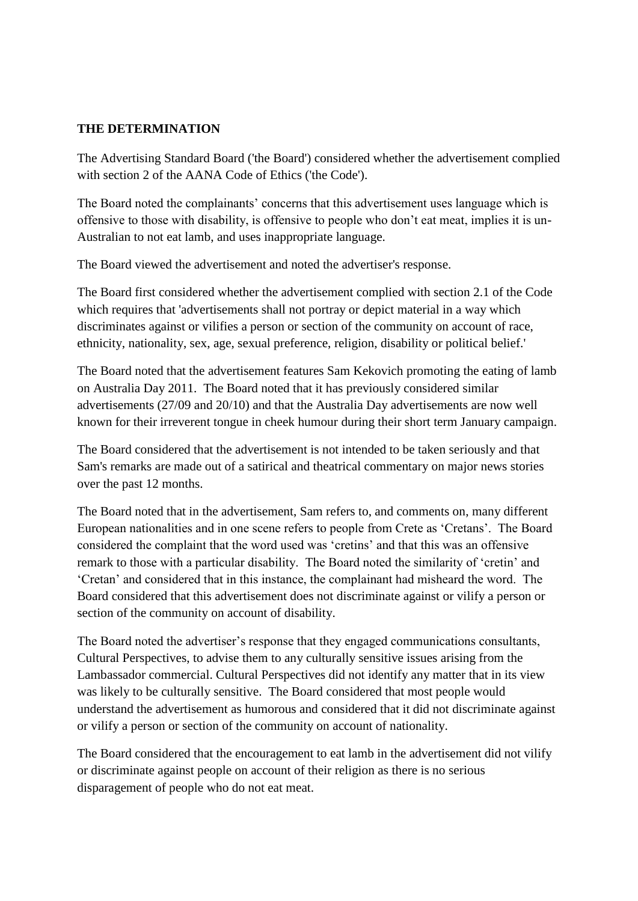# **THE DETERMINATION**

The Advertising Standard Board ('the Board') considered whether the advertisement complied with section 2 of the AANA Code of Ethics ('the Code').

The Board noted the complainants' concerns that this advertisement uses language which is offensive to those with disability, is offensive to people who don"t eat meat, implies it is un-Australian to not eat lamb, and uses inappropriate language.

The Board viewed the advertisement and noted the advertiser's response.

The Board first considered whether the advertisement complied with section 2.1 of the Code which requires that 'advertisements shall not portray or depict material in a way which discriminates against or vilifies a person or section of the community on account of race, ethnicity, nationality, sex, age, sexual preference, religion, disability or political belief.'

The Board noted that the advertisement features Sam Kekovich promoting the eating of lamb on Australia Day 2011. The Board noted that it has previously considered similar advertisements (27/09 and 20/10) and that the Australia Day advertisements are now well known for their irreverent tongue in cheek humour during their short term January campaign.

The Board considered that the advertisement is not intended to be taken seriously and that Sam's remarks are made out of a satirical and theatrical commentary on major news stories over the past 12 months.

The Board noted that in the advertisement, Sam refers to, and comments on, many different European nationalities and in one scene refers to people from Crete as "Cretans". The Board considered the complaint that the word used was "cretins" and that this was an offensive remark to those with a particular disability. The Board noted the similarity of "cretin" and "Cretan" and considered that in this instance, the complainant had misheard the word. The Board considered that this advertisement does not discriminate against or vilify a person or section of the community on account of disability.

The Board noted the advertiser"s response that they engaged communications consultants, Cultural Perspectives, to advise them to any culturally sensitive issues arising from the Lambassador commercial. Cultural Perspectives did not identify any matter that in its view was likely to be culturally sensitive. The Board considered that most people would understand the advertisement as humorous and considered that it did not discriminate against or vilify a person or section of the community on account of nationality.

The Board considered that the encouragement to eat lamb in the advertisement did not vilify or discriminate against people on account of their religion as there is no serious disparagement of people who do not eat meat.